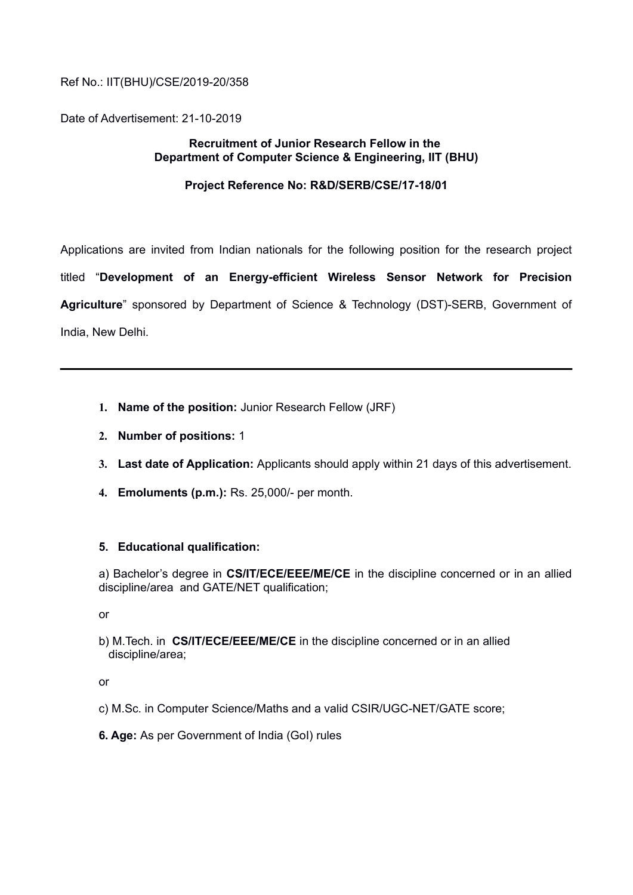#### Ref No.: IIT(BHU)/CSE/2019-20/358

Date of Advertisement: 21-10-2019

#### **Recruitment of Junior Research Fellow in the Department of Computer Science & Engineering, IIT (BHU)**

#### **Project Reference No: R&D/SERB/CSE/17-18/01**

Applications are invited from Indian nationals for the following position for the research project titled "**Development of an Energy-efficient Wireless Sensor Network for Precision Agriculture**" sponsored by Department of Science & Technology (DST)-SERB, Government of India, New Delhi.

- **1. Name of the position:** Junior Research Fellow (JRF)
- **2. Number of positions:** 1
- **3. Last date of Application:** Applicants should apply within 21 days of this advertisement.
- **4. Emoluments (p.m.):** Rs. 25,000/- per month.

#### **5. Educational qualification:**

a) Bachelor's degree in **CS/IT/ECE/EEE/ME/CE** in the discipline concerned or in an allied discipline/area and GATE/NET qualification;

or

b) M.Tech. in **CS/IT/ECE/EEE/ME/CE** in the discipline concerned or in an allied discipline/area;

or

- c) M.Sc. in Computer Science/Maths and a valid CSIR/UGC-NET/GATE score;
- **6. Age:** As per Government of India (GoI) rules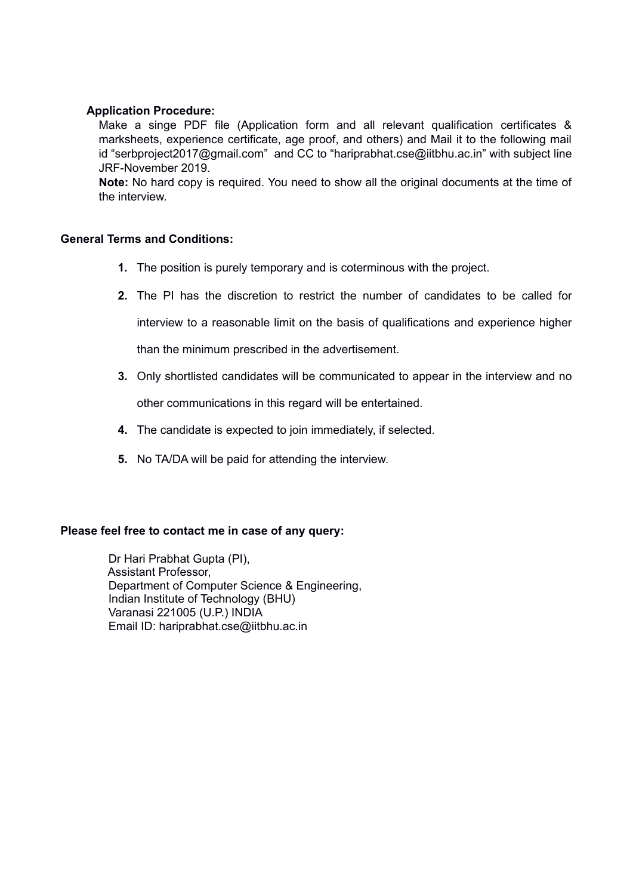#### **Application Procedure:**

Make a singe PDF file (Application form and all relevant qualification certificates & marksheets, experience certificate, age proof, and others) and Mail it to the following mail id "serbproject2017@gmail.com" and CC to "hariprabhat.cse@iitbhu.ac.in" with subject line JRF-November 2019.

**Note:** No hard copy is required. You need to show all the original documents at the time of the interview.

#### **General Terms and Conditions:**

- **1.** The position is purely temporary and is coterminous with the project.
- **2.** The PI has the discretion to restrict the number of candidates to be called for

interview to a reasonable limit on the basis of qualifications and experience higher

than the minimum prescribed in the advertisement.

- **3.** Only shortlisted candidates will be communicated to appear in the interview and no other communications in this regard will be entertained.
- **4.** The candidate is expected to join immediately, if selected.
- **5.** No TA/DA will be paid for attending the interview.

#### **Please feel free to contact me in case of any query:**

 Dr Hari Prabhat Gupta (PI), Assistant Professor, Department of Computer Science & Engineering, Indian Institute of Technology (BHU) Varanasi 221005 (U.P.) INDIA Email ID: hariprabhat.cse@iitbhu.ac.in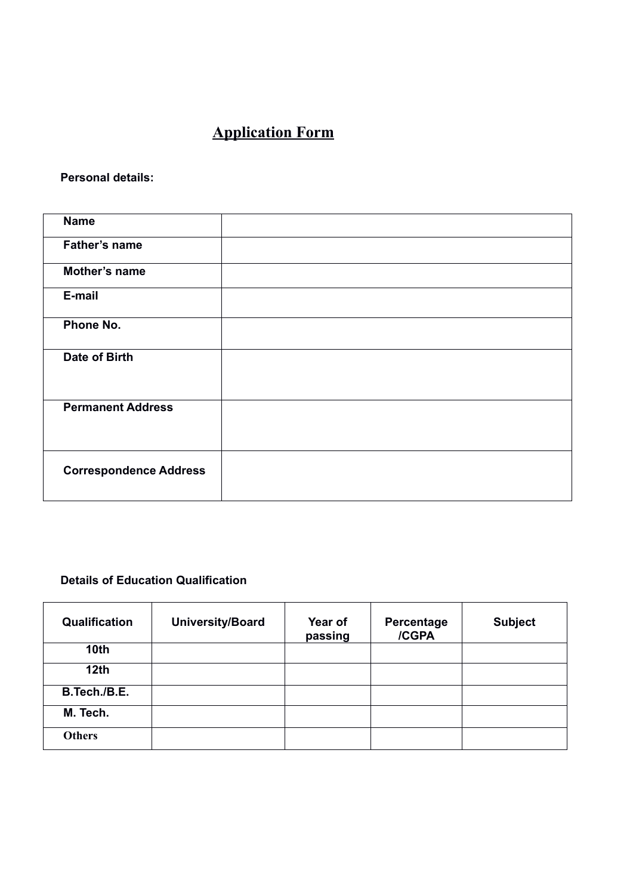# **Application Form**

**Personal details:**

| <b>Name</b>                   |  |
|-------------------------------|--|
| Father's name                 |  |
| Mother's name                 |  |
| E-mail                        |  |
| Phone No.                     |  |
| Date of Birth                 |  |
| <b>Permanent Address</b>      |  |
| <b>Correspondence Address</b> |  |

## **Details of Education Qualification**

| Qualification    | University/Board | Year of<br>passing | Percentage<br>/CGPA | <b>Subject</b> |
|------------------|------------------|--------------------|---------------------|----------------|
| 10 <sub>th</sub> |                  |                    |                     |                |
| 12 <sub>th</sub> |                  |                    |                     |                |
| B.Tech./B.E.     |                  |                    |                     |                |
| M. Tech.         |                  |                    |                     |                |
| <b>Others</b>    |                  |                    |                     |                |